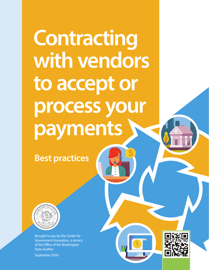**Contracting with vendors to accept or process your payments**

**Best practices**



Brought to you by the Center for Government Innovation, a service of the Office of the Washington State Auditor September 2020



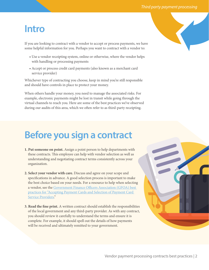## **Intro**

If you are looking to contract with a vendor to accept or process payments, we have some helpful information for you. Perhaps you want to contract with a vendor to:

- Use a vendor receipting system, online or otherwise, where the vendor helps with handling or processing payments
- Accept or process credit card payments (also known as a merchant card service provider)

Whichever type of contracting you choose, keep in mind you're still responsible and should have controls in place to protect your money.

When others handle your money, you need to manage the associated risks. For example, electronic payments might be lost in transit while going through the virtual channels to reach you. Here are some of the best practices we've observed during our audits of this area, which we often refer to as third-party receipting.

# **Before you sign a contract**

- **1. Put someone on point.** Assign a point person to help departments with these contracts. This employee can help with vendor selection as well as understanding and negotiating contract terms consistently across your organization.
- **2. Select your vendor with care.** Discuss and agree on your scope and specifications in advance. A good selection process is important to make the best choice based on your needs. For a resource to help when selecting a vendor, see the Government Finance Officers Association (GFOA) best practices for "Accepting Payment Cards and Selection of Payment Card Service Providers."
- **3. Read the fine print.** A written contract should establish the responsibilities of the local government and any third-party provider. As with any contract, you should review it carefully to understand the terms and ensure it is complete. For example, it should spell out the details of how payments will be received and ultimately remitted to your government.

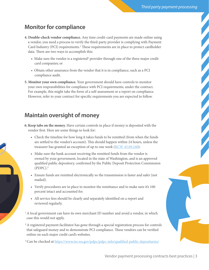### **Monitor for compliance**

- **4. Double-check vendor compliance.** Any time credit-card payments are made online using a vendor, you need a process to verify the third-party provider is complying with Payment Card Industry (PCI) requirements.<sup>1</sup> These requirements are in place to protect cardholder data. There are two ways to accomplish this:
	- Make sure the vendor is a registered<sup>2</sup> provider through one of the three major credit card companies; or
	- Obtain other assurance from the vendor that it is in compliance, such as a PCI compliance audit.
- **5. Monitor your own compliance.** Your government should have controls to monitor your own responsibilities for compliance with PCI requirements, under the contract. For example, this might take the form of a self-assessment or a report on compliance. However, refer to your contract for specific requirements you are expected to follow.

#### **Maintain oversight of money**

- **6. Keep tabs on the money.** Have certain controls in place if money is deposited with the vendor first. Here are some things to look for:
	- Check the timeline for how long it takes funds to be remitted (from when the funds are settled to the vendor's account). This should happen within 24 hours, unless the treasurer has granted an exception of up to one week (RCW 43.09.240).
	- Make sure the bank account receiving the remitted funds from the vendor is owned by your government, located in the state of Washington, and is an approved qualified public depository, confirmed by the Public Deposit Protection Commission (PDPC).3
	- Ensure funds are remitted electronically so the transmission is faster and safer (not mailed).
	- Verify procedures are in place to monitor the remittance and to make sure it's 100 percent intact and accounted for.
	- All service fees should be clearly and separately identified on a report and reviewed regularly.
- <sup>1</sup> A local government can have its own merchant ID number and avoid a vendor, in which case this would not apply.
- <sup>2</sup> A registered payment facilitator has gone through a special registration process for controls that safeguard money and to demonstrate PCI compliance. These vendors can be verified online on each major credit card's websites.
- <sup>3</sup> Can be checked at https://www.tre.wa.gov/pdpc/pdpc-info/qualified-public-depositaries/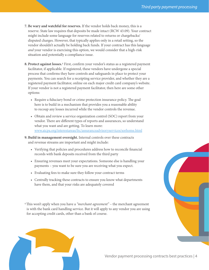- **7. Be wary and watchful for reserves.** If the vendor holds back money, this is a reserve. State law requires that deposits be made intact (RCW 43.09). Your contract might include some language for reserves related to returns or chargebacks/ disputed charges. However, that typically applies only in a retail setting, so the vendor shouldn't actually be holding back funds. If your contract has this language *and* your vendor is exercising this option, we would consider that a high-risk situation and potentially a compliance issue.
- 8. Protect against losses.<sup>4</sup> First, confirm your vendor's status as a registered payment facilitator, if applicable. If registered, these vendors have undergone a special process that confirms they have controls and safeguards in place to protect your payments. You can search for a receipting service provider, and whether they are a registered payment facilitator, online on each major credit card company's website. If your vendor is not a registered payment facilitator, then here are some other options:
	- Require a fiduciary bond or crime protection insurance policy. The goal here is to build in a mechanism that provides you a reasonable ability to recoup any losses incurred while the vendor controls the revenue.
	- Obtain and review a service organization control (SOC) report from your vendor. There are different types of reports and assurances, so understand what you want and are getting. To learn more: www.aicpa.org/interestareas/frc/assuranceadvisoryservices/sorhome.html
- **9. Build in management oversight.** Internal controls over these contracts and revenue streams are important and might include:
	- Verifying that policies and procedures address how to reconcile financial records with bank deposits received from the third party
	- Ensuring revenues meet your expectations. Someone else is handling your payments – you want to be sure you are receiving what you expect.
	- Evaluating fees to make sure they follow your contract terms
	- Centrally tracking these contracts to ensure you know what departments have them, and that your risks are adequately covered

<sup>4</sup> This won't apply when you have a "*merchant agreement*" – the merchant agreement is with the bank card handling service. But it will apply to any vendor you are using for accepting credit cards, other than a bank of course.



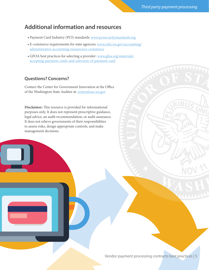#### **Additional information and resources**

- Payment Card Industry (PCI) standards: www.pcisecuritystandards.org
- E-commerce requirements for state agencies: www.ofm.wa.gov/accounting/ administrative-accounting-resources/e-commerce
- GFOA best practices for selecting a provider: www.gfoa.org/materials/ accepting-payment-cards-and-selection-of-payment-card

#### **Questions? Concerns?**

Contact the Center for Government Innovation at the Office of the Washington State Auditor at: center@sao.wa.gov

**Disclaimer:** This resource is provided for informational purposes only. It does not represent prescriptive guidance, legal advice, an audit recommendation, or audit assurance. It does not relieve governments of their responsibilities to assess risks, design appropriate controls, and make management decisions.